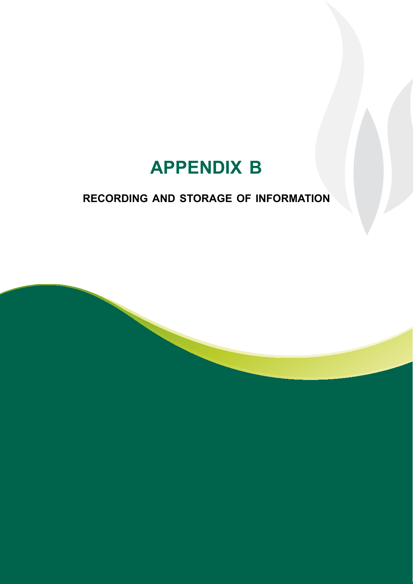## **recording and storage of information**

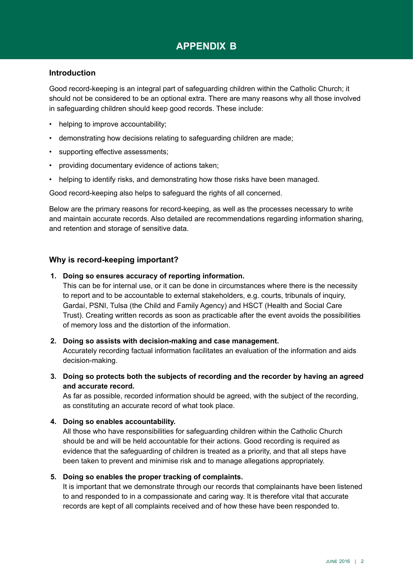### **Introduction**

Good record-keeping is an integral part of safeguarding children within the Catholic Church; it should not be considered to be an optional extra. There are many reasons why all those involved in safeguarding children should keep good records. These include:

- helping to improve accountability;
- • demonstrating how decisions relating to safeguarding children are made;
- supporting effective assessments;
- • providing documentary evidence of actions taken;
- helping to identify risks, and demonstrating how those risks have been managed.

Good record-keeping also helps to safeguard the rights of all concerned.

Below are the primary reasons for record-keeping, as well as the processes necessary to write and maintain accurate records. Also detailed are recommendations regarding information sharing, and retention and storage of sensitive data.

### **Why is record-keeping important?**

#### **1. Doing so ensures accuracy of reporting information.**

This can be for internal use, or it can be done in circumstances where there is the necessity to report and to be accountable to external stakeholders, e.g. courts, tribunals of inquiry, Gardaí, PSNI, Tulsa (the Child and Family Agency) and HSCT (Health and Social Care Trust). Creating written records as soon as practicable after the event avoids the possibilities of memory loss and the distortion of the information.

#### **2. Doing so assists with decision-making and case management.**

Accurately recording factual information facilitates an evaluation of the information and aids decision-making.

**3. Doing so protects both the subjects of recording and the recorder by having an agreed and accurate record.**

As far as possible, recorded information should be agreed, with the subject of the recording, as constituting an accurate record of what took place.

#### **4. Doing so enables accountability.**

All those who have responsibilities for safeguarding children within the Catholic Church should be and will be held accountable for their actions. Good recording is required as evidence that the safeguarding of children is treated as a priority, and that all steps have been taken to prevent and minimise risk and to manage allegations appropriately.

#### **5. Doing so enables the proper tracking of complaints.**

It is important that we demonstrate through our records that complainants have been listened to and responded to in a compassionate and caring way. It is therefore vital that accurate records are kept of all complaints received and of how these have been responded to.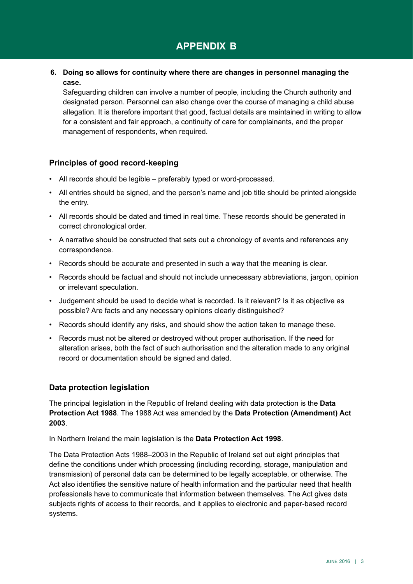**6. Doing so allows for continuity where there are changes in personnel managing the case.**

Safeguarding children can involve a number of people, including the Church authority and designated person. Personnel can also change over the course of managing a child abuse allegation. It is therefore important that good, factual details are maintained in writing to allow for a consistent and fair approach, a continuity of care for complainants, and the proper management of respondents, when required.

### **Principles of good record-keeping**

- All records should be legible preferably typed or word-processed.
- • All entries should be signed, and the person's name and job title should be printed alongside the entry.
- • All records should be dated and timed in real time. These records should be generated in correct chronological order.
- A narrative should be constructed that sets out a chronology of events and references any correspondence.
- • Records should be accurate and presented in such a way that the meaning is clear.
- Records should be factual and should not include unnecessary abbreviations, jargon, opinion or irrelevant speculation.
- • Judgement should be used to decide what is recorded. Is it relevant? Is it as objective as possible? Are facts and any necessary opinions clearly distinguished?
- Records should identify any risks, and should show the action taken to manage these.
- • Records must not be altered or destroyed without proper authorisation. If the need for alteration arises, both the fact of such authorisation and the alteration made to any original record or documentation should be signed and dated.

### **Data protection legislation**

The principal legislation in the Republic of Ireland dealing with data protection is the **Data Protection Act 1988**. The 1988 Act was amended by the **Data Protection (Amendment) Act 2003**.

In Northern Ireland the main legislation is the **Data Protection Act 1998**.

The Data Protection Acts 1988–2003 in the Republic of Ireland set out eight principles that define the conditions under which processing (including recording, storage, manipulation and transmission) of personal data can be determined to be legally acceptable, or otherwise. The Act also identifies the sensitive nature of health information and the particular need that health professionals have to communicate that information between themselves. The Act gives data subjects rights of access to their records, and it applies to electronic and paper-based record systems.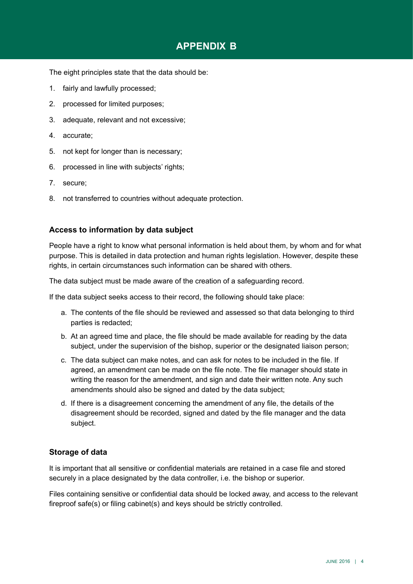The eight principles state that the data should be:

- 1. fairly and lawfully processed;
- 2. processed for limited purposes;
- 3. adequate, relevant and not excessive;
- 4. accurate;
- 5. not kept for longer than is necessary;
- 6. processed in line with subjects' rights;
- 7. secure;
- 8. not transferred to countries without adequate protection.

### **Access to information by data subject**

People have a right to know what personal information is held about them, by whom and for what purpose. This is detailed in data protection and human rights legislation. However, despite these rights, in certain circumstances such information can be shared with others.

The data subject must be made aware of the creation of a safeguarding record.

If the data subject seeks access to their record, the following should take place:

- a. The contents of the file should be reviewed and assessed so that data belonging to third parties is redacted;
- b. At an agreed time and place, the file should be made available for reading by the data subject, under the supervision of the bishop, superior or the designated liaison person;
- c. The data subject can make notes, and can ask for notes to be included in the file. If agreed, an amendment can be made on the file note. The file manager should state in writing the reason for the amendment, and sign and date their written note. Any such amendments should also be signed and dated by the data subject;
- d. If there is a disagreement concerning the amendment of any file, the details of the disagreement should be recorded, signed and dated by the file manager and the data subject.

### **Storage of data**

It is important that all sensitive or confidential materials are retained in a case file and stored securely in a place designated by the data controller, i.e. the bishop or superior.

Files containing sensitive or confidential data should be locked away, and access to the relevant fireproof safe(s) or filing cabinet(s) and keys should be strictly controlled.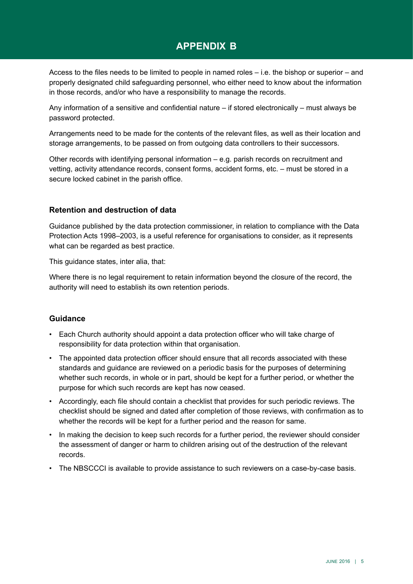Access to the files needs to be limited to people in named roles – i.e. the bishop or superior – and properly designated child safeguarding personnel, who either need to know about the information in those records, and/or who have a responsibility to manage the records.

Any information of a sensitive and confidential nature – if stored electronically – must always be password protected.

Arrangements need to be made for the contents of the relevant files, as well as their location and storage arrangements, to be passed on from outgoing data controllers to their successors.

Other records with identifying personal information – e.g. parish records on recruitment and vetting, activity attendance records, consent forms, accident forms, etc. – must be stored in a secure locked cabinet in the parish office. 

### **Retention and destruction of data**

Guidance published by the data protection commissioner, in relation to compliance with the Data Protection Acts 1998–2003, is a useful reference for organisations to consider, as it represents what can be regarded as best practice.

This guidance states, inter alia, that:

Where there is no legal requirement to retain information beyond the closure of the record, the authority will need to establish its own retention periods.

### **Guidance**

- • Each Church authority should appoint a data protection officer who will take charge of responsibility for data protection within that organisation.
- • The appointed data protection officer should ensure that all records associated with these standards and guidance are reviewed on a periodic basis for the purposes of determining whether such records, in whole or in part, should be kept for a further period, or whether the purpose for which such records are kept has now ceased.
- • Accordingly, each file should contain a checklist that provides for such periodic reviews. The checklist should be signed and dated after completion of those reviews, with confirmation as to whether the records will be kept for a further period and the reason for same.
- In making the decision to keep such records for a further period, the reviewer should consider the assessment of danger or harm to children arising out of the destruction of the relevant records.
- The NBSCCCI is available to provide assistance to such reviewers on a case-by-case basis.